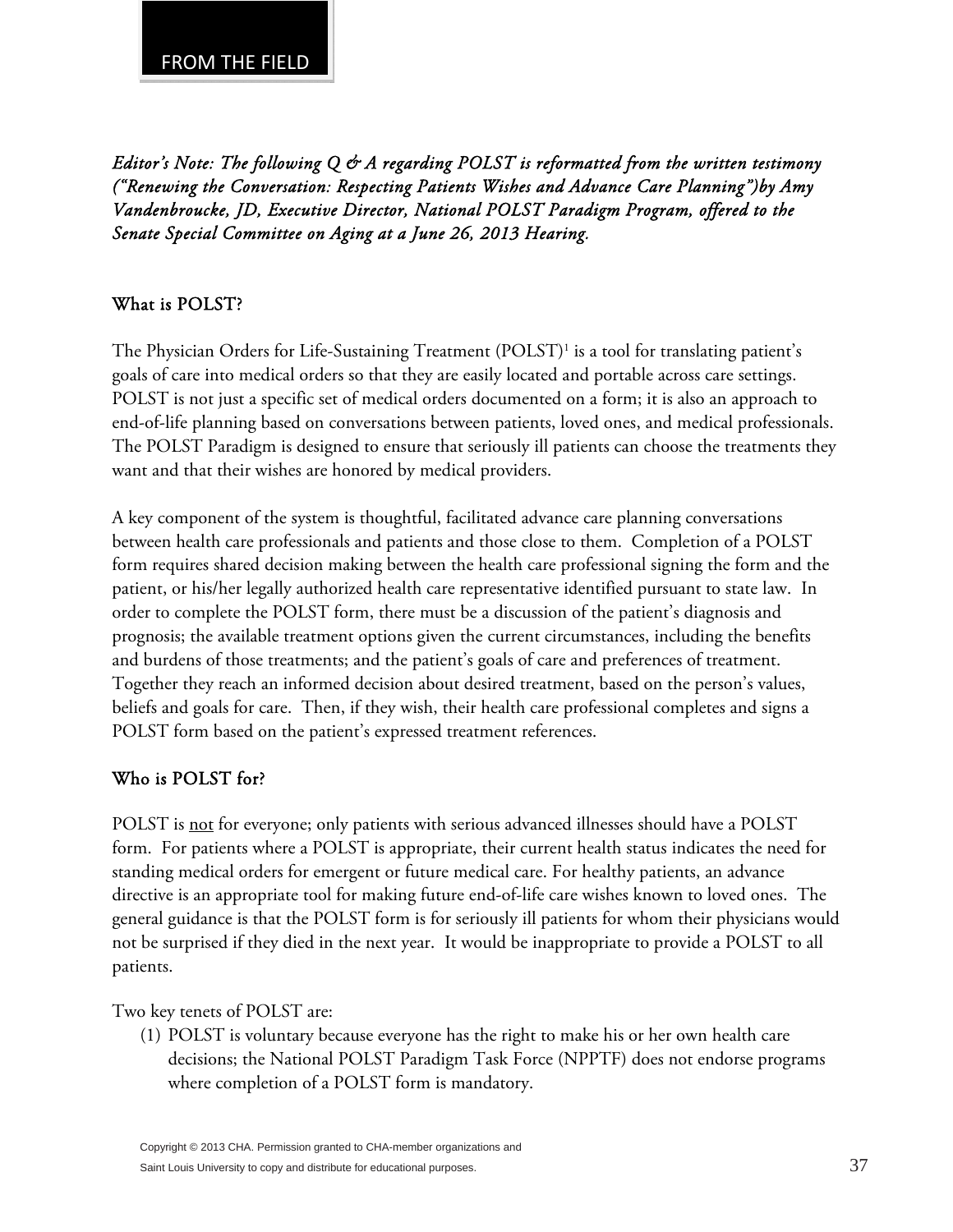*Editor's Note: The following Q & A regarding POLST is reformatted from the written testimony ("Renewing the Conversation: Respecting Patients Wishes and Advance Care Planning")by Amy Vandenbroucke, JD, Executive Director, National POLST Paradigm Program, offered to the Senate Special Committee on Aging at a June 26, 2013 Hearing.* 

### What is POLST?

The Physician Orders for Life-Sustaining Treatment (POLST)<sup>1</sup> is a tool for translating patient's goals of care into medical orders so that they are easily located and portable across care settings. POLST is not just a specific set of medical orders documented on a form; it is also an approach to end-of-life planning based on conversations between patients, loved ones, and medical professionals. The POLST Paradigm is designed to ensure that seriously ill patients can choose the treatments they want and that their wishes are honored by medical providers.

A key component of the system is thoughtful, facilitated advance care planning conversations between health care professionals and patients and those close to them. Completion of a POLST form requires shared decision making between the health care professional signing the form and the patient, or his/her legally authorized health care representative identified pursuant to state law. In order to complete the POLST form, there must be a discussion of the patient's diagnosis and prognosis; the available treatment options given the current circumstances, including the benefits and burdens of those treatments; and the patient's goals of care and preferences of treatment. Together they reach an informed decision about desired treatment, based on the person's values, beliefs and goals for care. Then, if they wish, their health care professional completes and signs a POLST form based on the patient's expressed treatment references.

# Who is POLST for?

POLST is not for everyone; only patients with serious advanced illnesses should have a POLST form. For patients where a POLST is appropriate, their current health status indicates the need for standing medical orders for emergent or future medical care. For healthy patients, an advance directive is an appropriate tool for making future end-of-life care wishes known to loved ones. The general guidance is that the POLST form is for seriously ill patients for whom their physicians would not be surprised if they died in the next year. It would be inappropriate to provide a POLST to all patients.

Two key tenets of POLST are:

(1) POLST is voluntary because everyone has the right to make his or her own health care decisions; the National POLST Paradigm Task Force (NPPTF) does not endorse programs where completion of a POLST form is mandatory.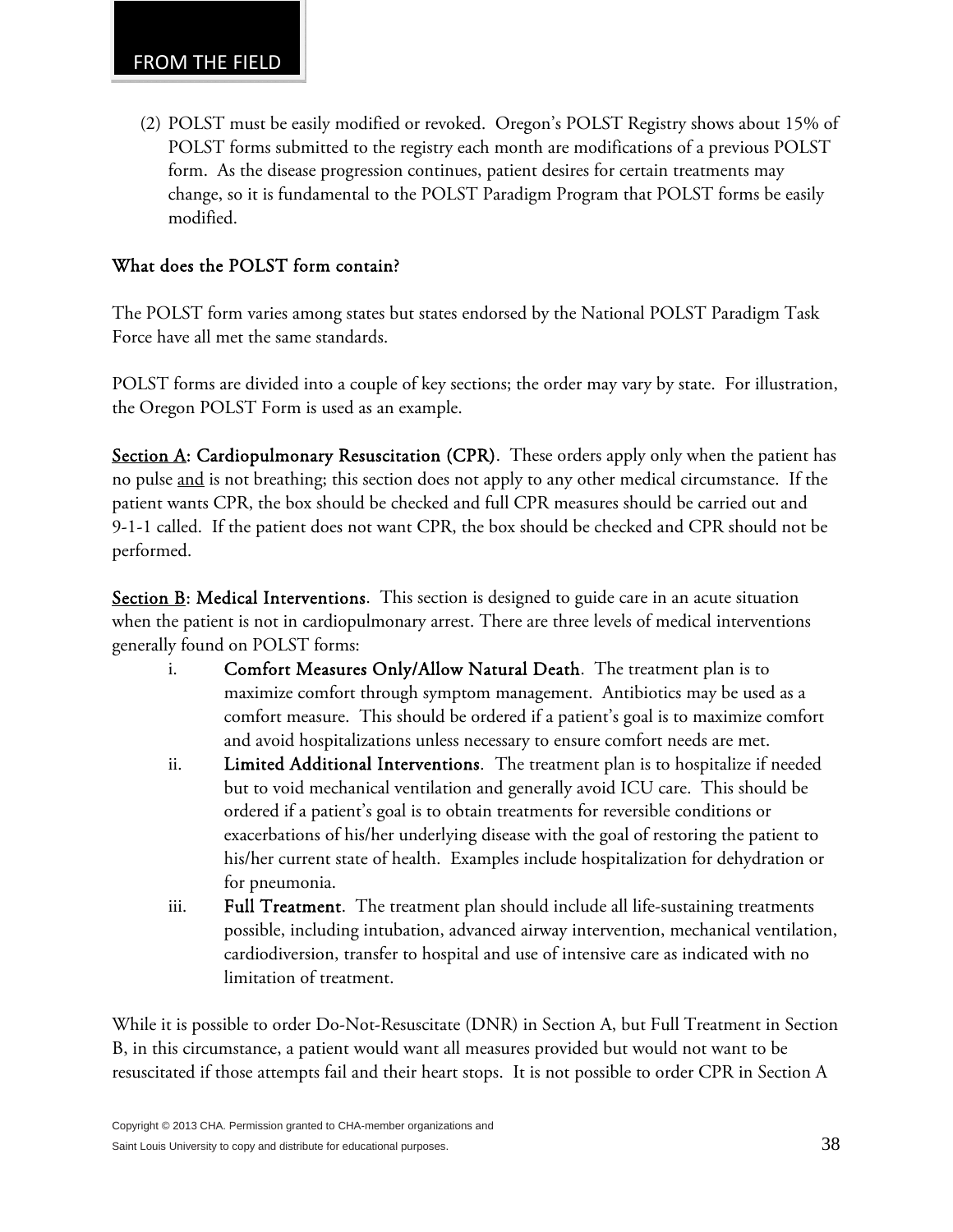(2) POLST must be easily modified or revoked. Oregon's POLST Registry shows about 15% of POLST forms submitted to the registry each month are modifications of a previous POLST form. As the disease progression continues, patient desires for certain treatments may change, so it is fundamental to the POLST Paradigm Program that POLST forms be easily modified.

## What does the POLST form contain?

The POLST form varies among states but states endorsed by the National POLST Paradigm Task Force have all met the same standards.

POLST forms are divided into a couple of key sections; the order may vary by state. For illustration, the Oregon POLST Form is used as an example.

Section A: Cardiopulmonary Resuscitation (CPR). These orders apply only when the patient has no pulse and is not breathing; this section does not apply to any other medical circumstance. If the patient wants CPR, the box should be checked and full CPR measures should be carried out and 9-1-1 called. If the patient does not want CPR, the box should be checked and CPR should not be performed.

**Section B: Medical Interventions.** This section is designed to guide care in an acute situation when the patient is not in cardiopulmonary arrest. There are three levels of medical interventions generally found on POLST forms:

- i. Comfort Measures Only/Allow Natural Death. The treatment plan is to maximize comfort through symptom management. Antibiotics may be used as a comfort measure. This should be ordered if a patient's goal is to maximize comfort and avoid hospitalizations unless necessary to ensure comfort needs are met.
- ii. Limited Additional Interventions. The treatment plan is to hospitalize if needed but to void mechanical ventilation and generally avoid ICU care. This should be ordered if a patient's goal is to obtain treatments for reversible conditions or exacerbations of his/her underlying disease with the goal of restoring the patient to his/her current state of health. Examples include hospitalization for dehydration or for pneumonia.
- iii. Full Treatment. The treatment plan should include all life-sustaining treatments possible, including intubation, advanced airway intervention, mechanical ventilation, cardiodiversion, transfer to hospital and use of intensive care as indicated with no limitation of treatment.

While it is possible to order Do-Not-Resuscitate (DNR) in Section A, but Full Treatment in Section B, in this circumstance, a patient would want all measures provided but would not want to be resuscitated if those attempts fail and their heart stops. It is not possible to order CPR in Section A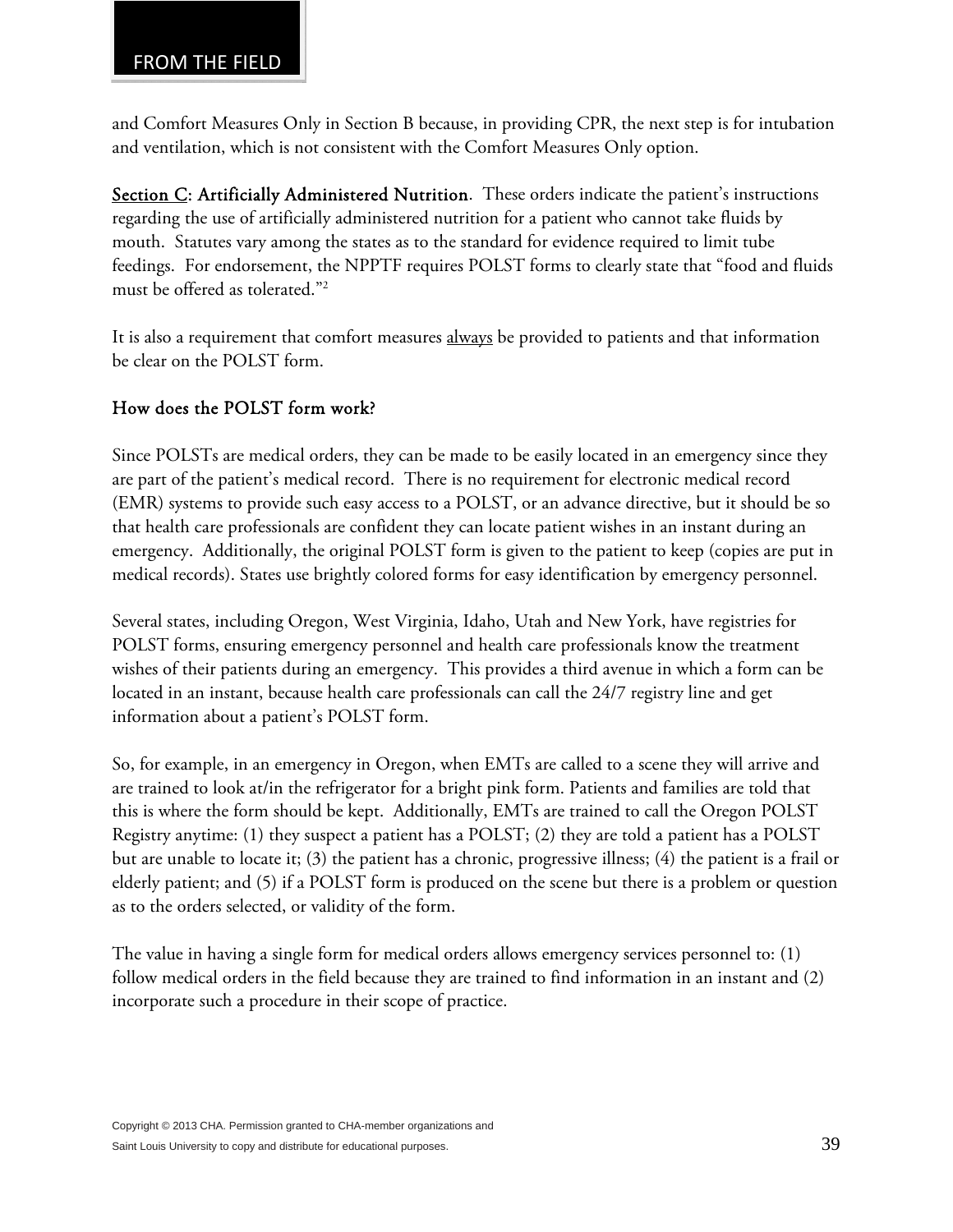and Comfort Measures Only in Section B because, in providing CPR, the next step is for intubation and ventilation, which is not consistent with the Comfort Measures Only option.

Section C: Artificially Administered Nutrition. These orders indicate the patient's instructions regarding the use of artificially administered nutrition for a patient who cannot take fluids by mouth. Statutes vary among the states as to the standard for evidence required to limit tube feedings. For endorsement, the NPPTF requires POLST forms to clearly state that "food and fluids must be offered as tolerated."2

It is also a requirement that comfort measures always be provided to patients and that information be clear on the POLST form.

# How does the POLST form work?

Since POLSTs are medical orders, they can be made to be easily located in an emergency since they are part of the patient's medical record. There is no requirement for electronic medical record (EMR) systems to provide such easy access to a POLST, or an advance directive, but it should be so that health care professionals are confident they can locate patient wishes in an instant during an emergency. Additionally, the original POLST form is given to the patient to keep (copies are put in medical records). States use brightly colored forms for easy identification by emergency personnel.

Several states, including Oregon, West Virginia, Idaho, Utah and New York, have registries for POLST forms, ensuring emergency personnel and health care professionals know the treatment wishes of their patients during an emergency. This provides a third avenue in which a form can be located in an instant, because health care professionals can call the 24/7 registry line and get information about a patient's POLST form.

So, for example, in an emergency in Oregon, when EMTs are called to a scene they will arrive and are trained to look at/in the refrigerator for a bright pink form. Patients and families are told that this is where the form should be kept. Additionally, EMTs are trained to call the Oregon POLST Registry anytime: (1) they suspect a patient has a POLST; (2) they are told a patient has a POLST but are unable to locate it; (3) the patient has a chronic, progressive illness; (4) the patient is a frail or elderly patient; and (5) if a POLST form is produced on the scene but there is a problem or question as to the orders selected, or validity of the form.

The value in having a single form for medical orders allows emergency services personnel to: (1) follow medical orders in the field because they are trained to find information in an instant and (2) incorporate such a procedure in their scope of practice.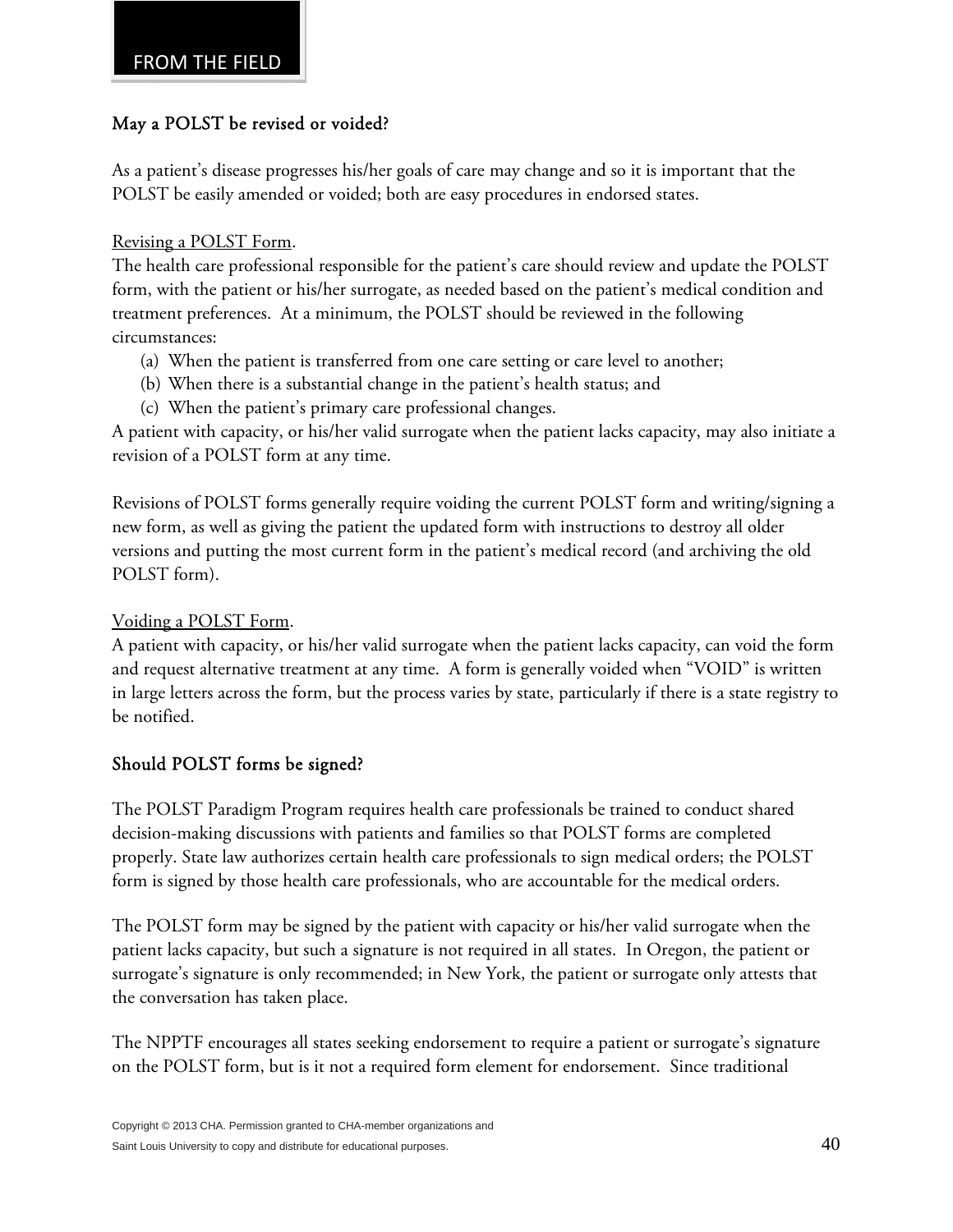## May a POLST be revised or voided?

As a patient's disease progresses his/her goals of care may change and so it is important that the POLST be easily amended or voided; both are easy procedures in endorsed states.

Revising a POLST Form.

The health care professional responsible for the patient's care should review and update the POLST form, with the patient or his/her surrogate, as needed based on the patient's medical condition and treatment preferences. At a minimum, the POLST should be reviewed in the following circumstances:

- (a) When the patient is transferred from one care setting or care level to another;
- (b) When there is a substantial change in the patient's health status; and
- (c) When the patient's primary care professional changes.

A patient with capacity, or his/her valid surrogate when the patient lacks capacity, may also initiate a revision of a POLST form at any time.

Revisions of POLST forms generally require voiding the current POLST form and writing/signing a new form, as well as giving the patient the updated form with instructions to destroy all older versions and putting the most current form in the patient's medical record (and archiving the old POLST form).

Voiding a POLST Form.

A patient with capacity, or his/her valid surrogate when the patient lacks capacity, can void the form and request alternative treatment at any time. A form is generally voided when "VOID" is written in large letters across the form, but the process varies by state, particularly if there is a state registry to be notified.

# Should POLST forms be signed?

The POLST Paradigm Program requires health care professionals be trained to conduct shared decision-making discussions with patients and families so that POLST forms are completed properly. State law authorizes certain health care professionals to sign medical orders; the POLST form is signed by those health care professionals, who are accountable for the medical orders.

The POLST form may be signed by the patient with capacity or his/her valid surrogate when the patient lacks capacity, but such a signature is not required in all states. In Oregon, the patient or surrogate's signature is only recommended; in New York, the patient or surrogate only attests that the conversation has taken place.

The NPPTF encourages all states seeking endorsement to require a patient or surrogate's signature on the POLST form, but is it not a required form element for endorsement. Since traditional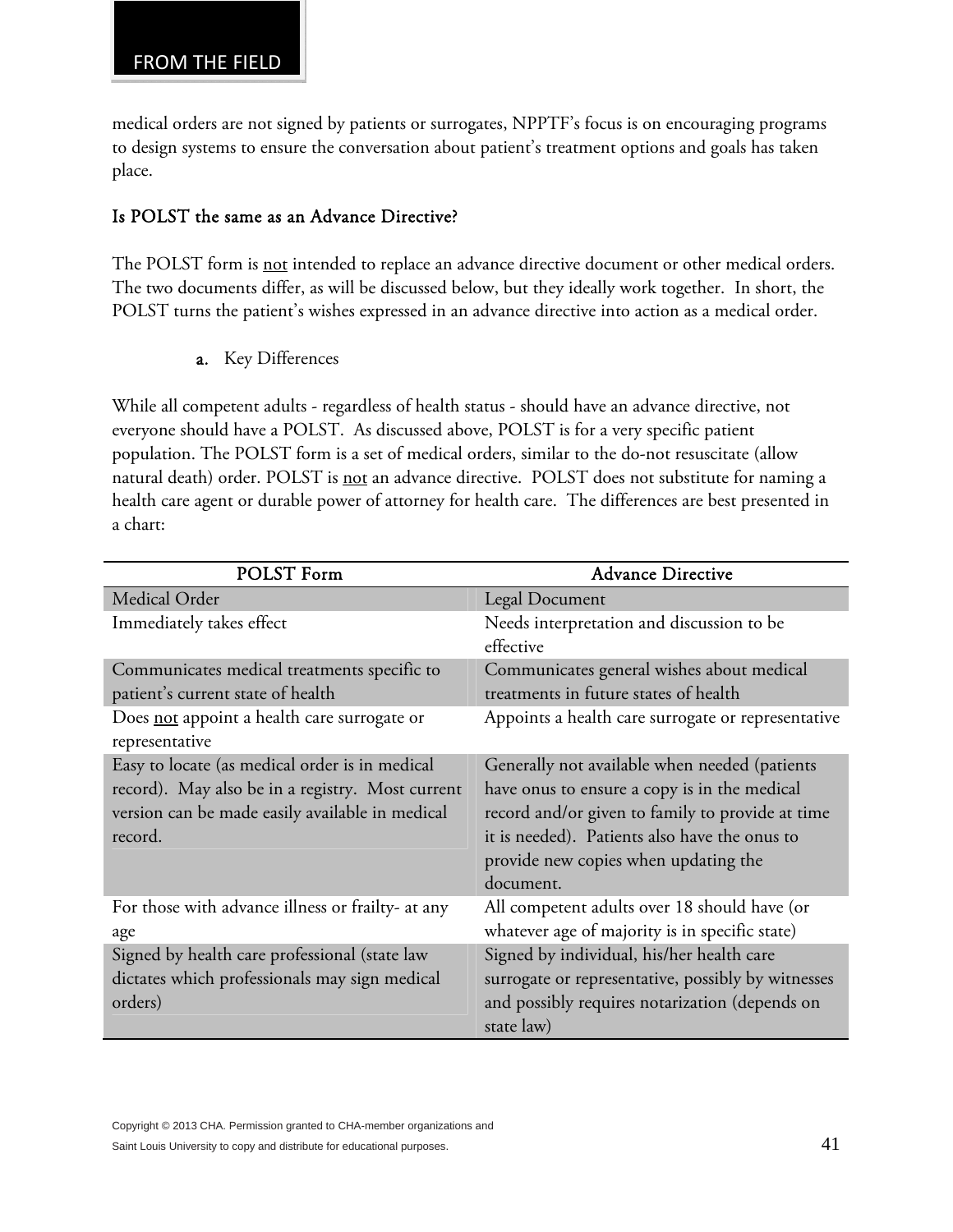medical orders are not signed by patients or surrogates, NPPTF's focus is on encouraging programs to design systems to ensure the conversation about patient's treatment options and goals has taken place.

# Is POLST the same as an Advance Directive?

The POLST form is <u>not</u> intended to replace an advance directive document or other medical orders. The two documents differ, as will be discussed below, but they ideally work together. In short, the POLST turns the patient's wishes expressed in an advance directive into action as a medical order.

a. Key Differences

While all competent adults - regardless of health status - should have an advance directive, not everyone should have a POLST. As discussed above, POLST is for a very specific patient population. The POLST form is a set of medical orders, similar to the do-not resuscitate (allow natural death) order. POLST is not an advance directive. POLST does not substitute for naming a health care agent or durable power of attorney for health care. The differences are best presented in a chart:

| <b>POLST Form</b>                                 | <b>Advance Directive</b>                               |
|---------------------------------------------------|--------------------------------------------------------|
| Medical Order                                     | Legal Document                                         |
| Immediately takes effect                          | Needs interpretation and discussion to be<br>effective |
| Communicates medical treatments specific to       | Communicates general wishes about medical              |
| patient's current state of health                 | treatments in future states of health                  |
| Does not appoint a health care surrogate or       | Appoints a health care surrogate or representative     |
| representative                                    |                                                        |
| Easy to locate (as medical order is in medical    | Generally not available when needed (patients          |
| record). May also be in a registry. Most current  | have onus to ensure a copy is in the medical           |
| version can be made easily available in medical   | record and/or given to family to provide at time       |
| record.                                           | it is needed). Patients also have the onus to          |
|                                                   | provide new copies when updating the                   |
|                                                   | document.                                              |
| For those with advance illness or frailty- at any | All competent adults over 18 should have (or           |
| age                                               | whatever age of majority is in specific state)         |
| Signed by health care professional (state law     | Signed by individual, his/her health care              |
| dictates which professionals may sign medical     | surrogate or representative, possibly by witnesses     |
| orders)                                           | and possibly requires notarization (depends on         |
|                                                   | state law)                                             |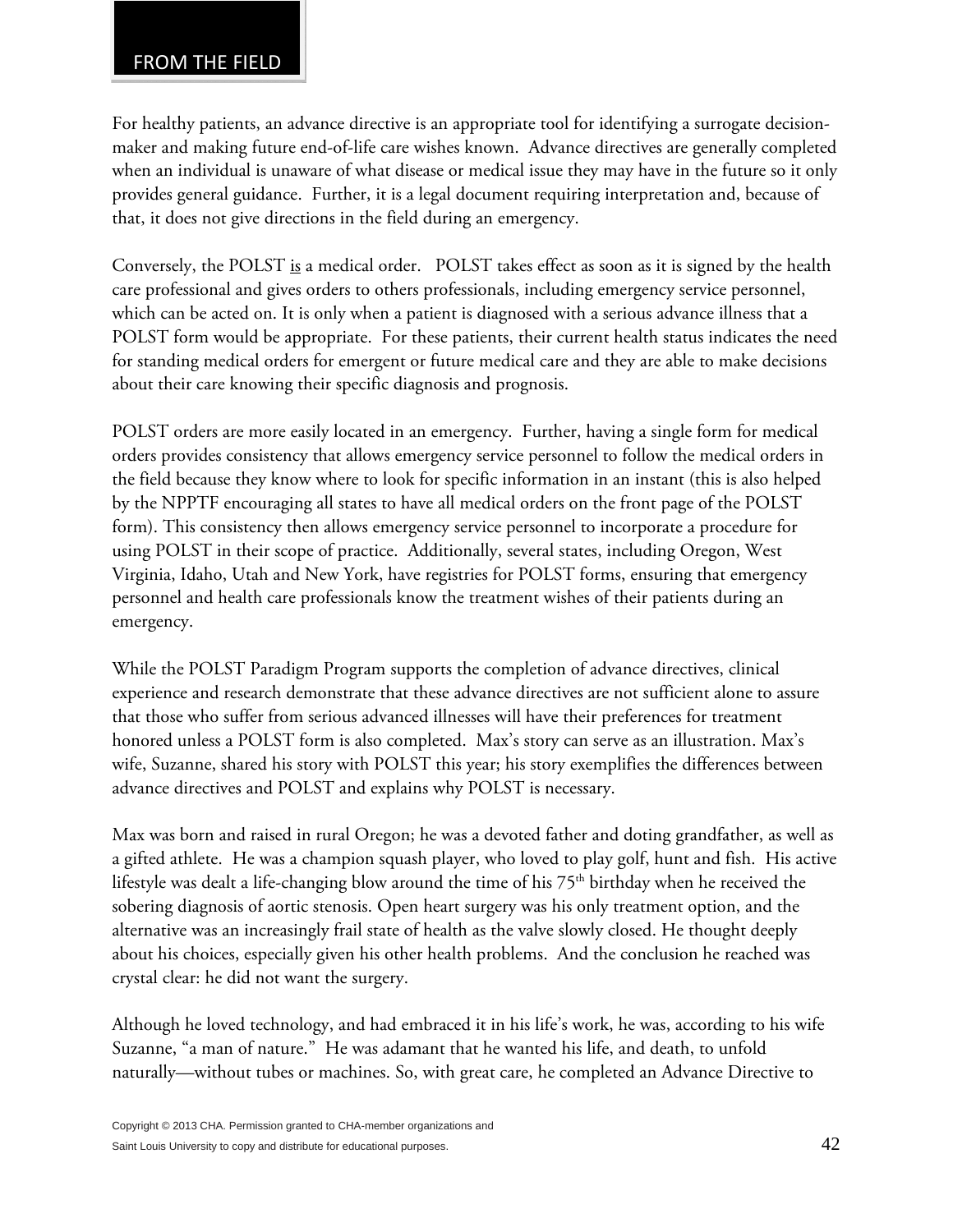For healthy patients, an advance directive is an appropriate tool for identifying a surrogate decisionmaker and making future end-of-life care wishes known. Advance directives are generally completed when an individual is unaware of what disease or medical issue they may have in the future so it only provides general guidance. Further, it is a legal document requiring interpretation and, because of that, it does not give directions in the field during an emergency.

Conversely, the POLST is a medical order. POLST takes effect as soon as it is signed by the health care professional and gives orders to others professionals, including emergency service personnel, which can be acted on. It is only when a patient is diagnosed with a serious advance illness that a POLST form would be appropriate. For these patients, their current health status indicates the need for standing medical orders for emergent or future medical care and they are able to make decisions about their care knowing their specific diagnosis and prognosis.

POLST orders are more easily located in an emergency. Further, having a single form for medical orders provides consistency that allows emergency service personnel to follow the medical orders in the field because they know where to look for specific information in an instant (this is also helped by the NPPTF encouraging all states to have all medical orders on the front page of the POLST form). This consistency then allows emergency service personnel to incorporate a procedure for using POLST in their scope of practice. Additionally, several states, including Oregon, West Virginia, Idaho, Utah and New York, have registries for POLST forms, ensuring that emergency personnel and health care professionals know the treatment wishes of their patients during an emergency.

While the POLST Paradigm Program supports the completion of advance directives, clinical experience and research demonstrate that these advance directives are not sufficient alone to assure that those who suffer from serious advanced illnesses will have their preferences for treatment honored unless a POLST form is also completed. Max's story can serve as an illustration. Max's wife, Suzanne, shared his story with POLST this year; his story exemplifies the differences between advance directives and POLST and explains why POLST is necessary.

Max was born and raised in rural Oregon; he was a devoted father and doting grandfather, as well as a gifted athlete. He was a champion squash player, who loved to play golf, hunt and fish. His active lifestyle was dealt a life-changing blow around the time of his  $75<sup>th</sup>$  birthday when he received the sobering diagnosis of aortic stenosis. Open heart surgery was his only treatment option, and the alternative was an increasingly frail state of health as the valve slowly closed. He thought deeply about his choices, especially given his other health problems. And the conclusion he reached was crystal clear: he did not want the surgery.

Although he loved technology, and had embraced it in his life's work, he was, according to his wife Suzanne, "a man of nature." He was adamant that he wanted his life, and death, to unfold naturally—without tubes or machines. So, with great care, he completed an Advance Directive to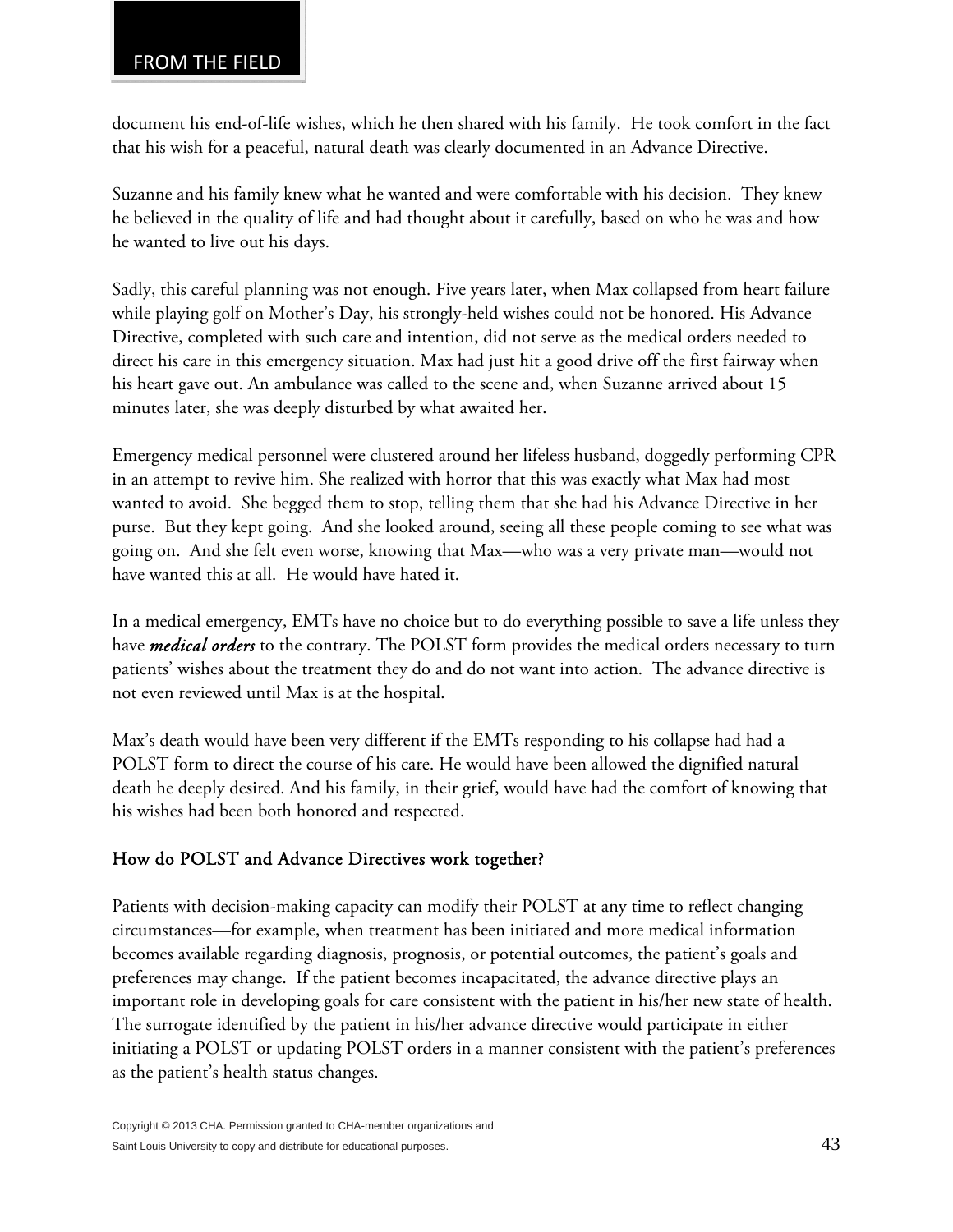document his end-of-life wishes, which he then shared with his family. He took comfort in the fact that his wish for a peaceful, natural death was clearly documented in an Advance Directive.

Suzanne and his family knew what he wanted and were comfortable with his decision. They knew he believed in the quality of life and had thought about it carefully, based on who he was and how he wanted to live out his days.

Sadly, this careful planning was not enough. Five years later, when Max collapsed from heart failure while playing golf on Mother's Day, his strongly-held wishes could not be honored. His Advance Directive, completed with such care and intention, did not serve as the medical orders needed to direct his care in this emergency situation. Max had just hit a good drive off the first fairway when his heart gave out. An ambulance was called to the scene and, when Suzanne arrived about 15 minutes later, she was deeply disturbed by what awaited her.

Emergency medical personnel were clustered around her lifeless husband, doggedly performing CPR in an attempt to revive him. She realized with horror that this was exactly what Max had most wanted to avoid. She begged them to stop, telling them that she had his Advance Directive in her purse. But they kept going. And she looked around, seeing all these people coming to see what was going on. And she felt even worse, knowing that Max—who was a very private man—would not have wanted this at all. He would have hated it.

In a medical emergency, EMTs have no choice but to do everything possible to save a life unless they have *medical orders* to the contrary. The POLST form provides the medical orders necessary to turn patients' wishes about the treatment they do and do not want into action. The advance directive is not even reviewed until Max is at the hospital.

Max's death would have been very different if the EMTs responding to his collapse had had a POLST form to direct the course of his care. He would have been allowed the dignified natural death he deeply desired. And his family, in their grief, would have had the comfort of knowing that his wishes had been both honored and respected.

# How do POLST and Advance Directives work together?

Patients with decision-making capacity can modify their POLST at any time to reflect changing circumstances—for example, when treatment has been initiated and more medical information becomes available regarding diagnosis, prognosis, or potential outcomes, the patient's goals and preferences may change. If the patient becomes incapacitated, the advance directive plays an important role in developing goals for care consistent with the patient in his/her new state of health. The surrogate identified by the patient in his/her advance directive would participate in either initiating a POLST or updating POLST orders in a manner consistent with the patient's preferences as the patient's health status changes.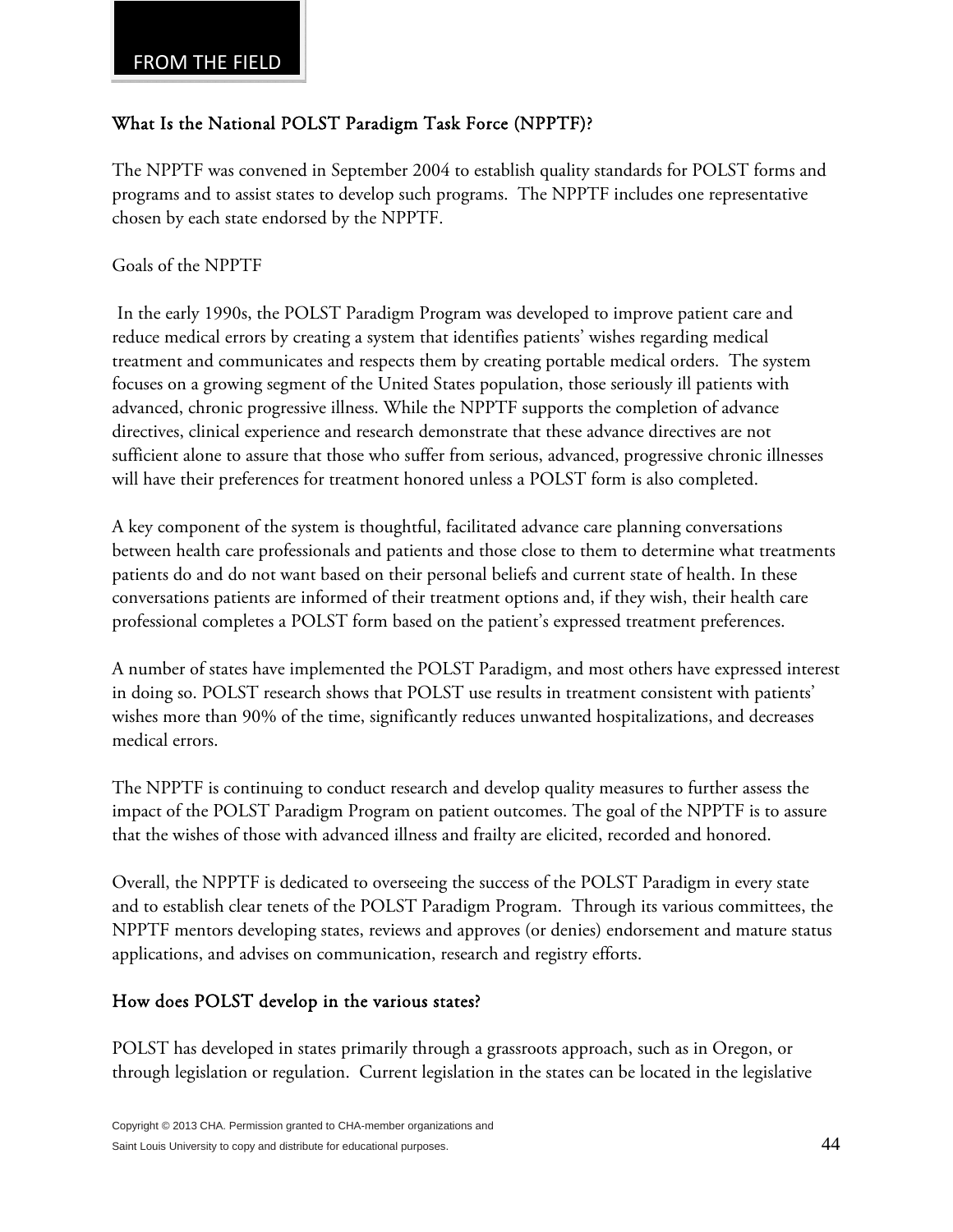## What Is the National POLST Paradigm Task Force (NPPTF)?

The NPPTF was convened in September 2004 to establish quality standards for POLST forms and programs and to assist states to develop such programs. The NPPTF includes one representative chosen by each state endorsed by the NPPTF.

Goals of the NPPTF

 In the early 1990s, the POLST Paradigm Program was developed to improve patient care and reduce medical errors by creating a system that identifies patients' wishes regarding medical treatment and communicates and respects them by creating portable medical orders. The system focuses on a growing segment of the United States population, those seriously ill patients with advanced, chronic progressive illness. While the NPPTF supports the completion of advance directives, clinical experience and research demonstrate that these advance directives are not sufficient alone to assure that those who suffer from serious, advanced, progressive chronic illnesses will have their preferences for treatment honored unless a POLST form is also completed.

A key component of the system is thoughtful, facilitated advance care planning conversations between health care professionals and patients and those close to them to determine what treatments patients do and do not want based on their personal beliefs and current state of health. In these conversations patients are informed of their treatment options and, if they wish, their health care professional completes a POLST form based on the patient's expressed treatment preferences.

A number of states have implemented the POLST Paradigm, and most others have expressed interest in doing so. POLST research shows that POLST use results in treatment consistent with patients' wishes more than 90% of the time, significantly reduces unwanted hospitalizations, and decreases medical errors.

The NPPTF is continuing to conduct research and develop quality measures to further assess the impact of the POLST Paradigm Program on patient outcomes. The goal of the NPPTF is to assure that the wishes of those with advanced illness and frailty are elicited, recorded and honored.

Overall, the NPPTF is dedicated to overseeing the success of the POLST Paradigm in every state and to establish clear tenets of the POLST Paradigm Program. Through its various committees, the NPPTF mentors developing states, reviews and approves (or denies) endorsement and mature status applications, and advises on communication, research and registry efforts.

# How does POLST develop in the various states?

POLST has developed in states primarily through a grassroots approach, such as in Oregon, or through legislation or regulation. Current legislation in the states can be located in the legislative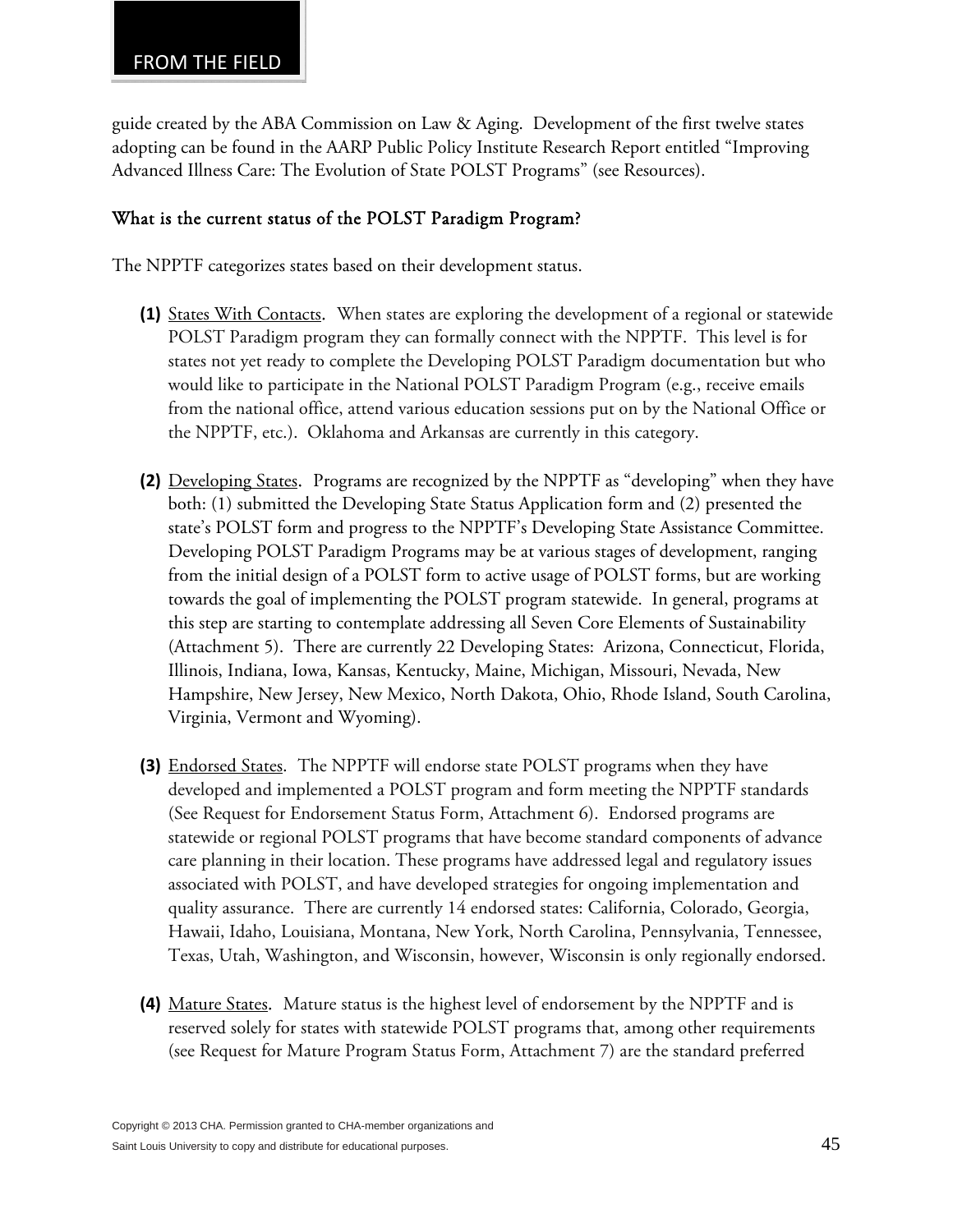guide created by the ABA Commission on Law & Aging. Development of the first twelve states adopting can be found in the AARP Public Policy Institute Research Report entitled "Improving Advanced Illness Care: The Evolution of State POLST Programs" (see Resources).

#### What is the current status of the POLST Paradigm Program?

The NPPTF categorizes states based on their development status.

- **(1)** States With Contacts. When states are exploring the development of a regional or statewide POLST Paradigm program they can formally connect with the NPPTF. This level is for states not yet ready to complete the Developing POLST Paradigm documentation but who would like to participate in the National POLST Paradigm Program (e.g., receive emails from the national office, attend various education sessions put on by the National Office or the NPPTF, etc.). Oklahoma and Arkansas are currently in this category.
- **(2)** Developing States. Programs are recognized by the NPPTF as "developing" when they have both: (1) submitted the Developing State Status Application form and (2) presented the state's POLST form and progress to the NPPTF's Developing State Assistance Committee. Developing POLST Paradigm Programs may be at various stages of development, ranging from the initial design of a POLST form to active usage of POLST forms, but are working towards the goal of implementing the POLST program statewide. In general, programs at this step are starting to contemplate addressing all Seven Core Elements of Sustainability (Attachment 5). There are currently 22 Developing States: Arizona, Connecticut, Florida, Illinois, Indiana, Iowa, Kansas, Kentucky, Maine, Michigan, Missouri, Nevada, New Hampshire, New Jersey, New Mexico, North Dakota, Ohio, Rhode Island, South Carolina, Virginia, Vermont and Wyoming).
- **(3)** Endorsed States. The NPPTF will endorse state POLST programs when they have developed and implemented a POLST program and form meeting the NPPTF standards (See Request for Endorsement Status Form, Attachment 6). Endorsed programs are statewide or regional POLST programs that have become standard components of advance care planning in their location. These programs have addressed legal and regulatory issues associated with POLST, and have developed strategies for ongoing implementation and quality assurance. There are currently 14 endorsed states: California, Colorado, Georgia, Hawaii, Idaho, Louisiana, Montana, New York, North Carolina, Pennsylvania, Tennessee, Texas, Utah, Washington, and Wisconsin, however, Wisconsin is only regionally endorsed.
- **(4)** Mature States. Mature status is the highest level of endorsement by the NPPTF and is reserved solely for states with statewide POLST programs that, among other requirements (see Request for Mature Program Status Form, Attachment 7) are the standard preferred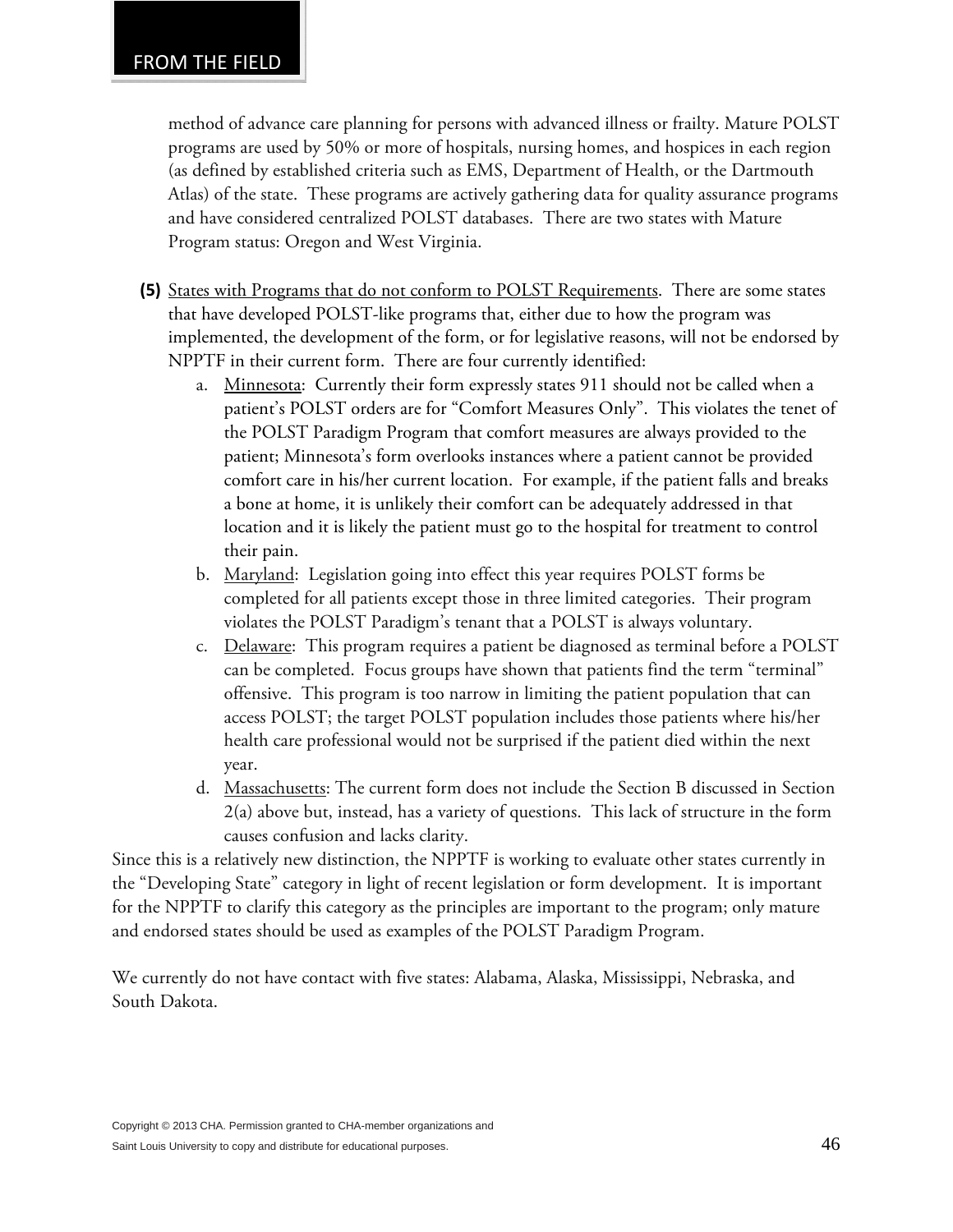#### FROM THE FIELD

method of advance care planning for persons with advanced illness or frailty. Mature POLST programs are used by 50% or more of hospitals, nursing homes, and hospices in each region (as defined by established criteria such as EMS, Department of Health, or the Dartmouth Atlas) of the state. These programs are actively gathering data for quality assurance programs and have considered centralized POLST databases. There are two states with Mature Program status: Oregon and West Virginia.

- **(5)** States with Programs that do not conform to POLST Requirements. There are some states that have developed POLST-like programs that, either due to how the program was implemented, the development of the form, or for legislative reasons, will not be endorsed by NPPTF in their current form. There are four currently identified:
	- a. Minnesota: Currently their form expressly states 911 should not be called when a patient's POLST orders are for "Comfort Measures Only". This violates the tenet of the POLST Paradigm Program that comfort measures are always provided to the patient; Minnesota's form overlooks instances where a patient cannot be provided comfort care in his/her current location. For example, if the patient falls and breaks a bone at home, it is unlikely their comfort can be adequately addressed in that location and it is likely the patient must go to the hospital for treatment to control their pain.
	- b. Maryland: Legislation going into effect this year requires POLST forms be completed for all patients except those in three limited categories. Their program violates the POLST Paradigm's tenant that a POLST is always voluntary.
	- c. Delaware: This program requires a patient be diagnosed as terminal before a POLST can be completed. Focus groups have shown that patients find the term "terminal" offensive. This program is too narrow in limiting the patient population that can access POLST; the target POLST population includes those patients where his/her health care professional would not be surprised if the patient died within the next year.
	- d. Massachusetts: The current form does not include the Section B discussed in Section 2(a) above but, instead, has a variety of questions. This lack of structure in the form causes confusion and lacks clarity.

Since this is a relatively new distinction, the NPPTF is working to evaluate other states currently in the "Developing State" category in light of recent legislation or form development. It is important for the NPPTF to clarify this category as the principles are important to the program; only mature and endorsed states should be used as examples of the POLST Paradigm Program.

We currently do not have contact with five states: Alabama, Alaska, Mississippi, Nebraska, and South Dakota.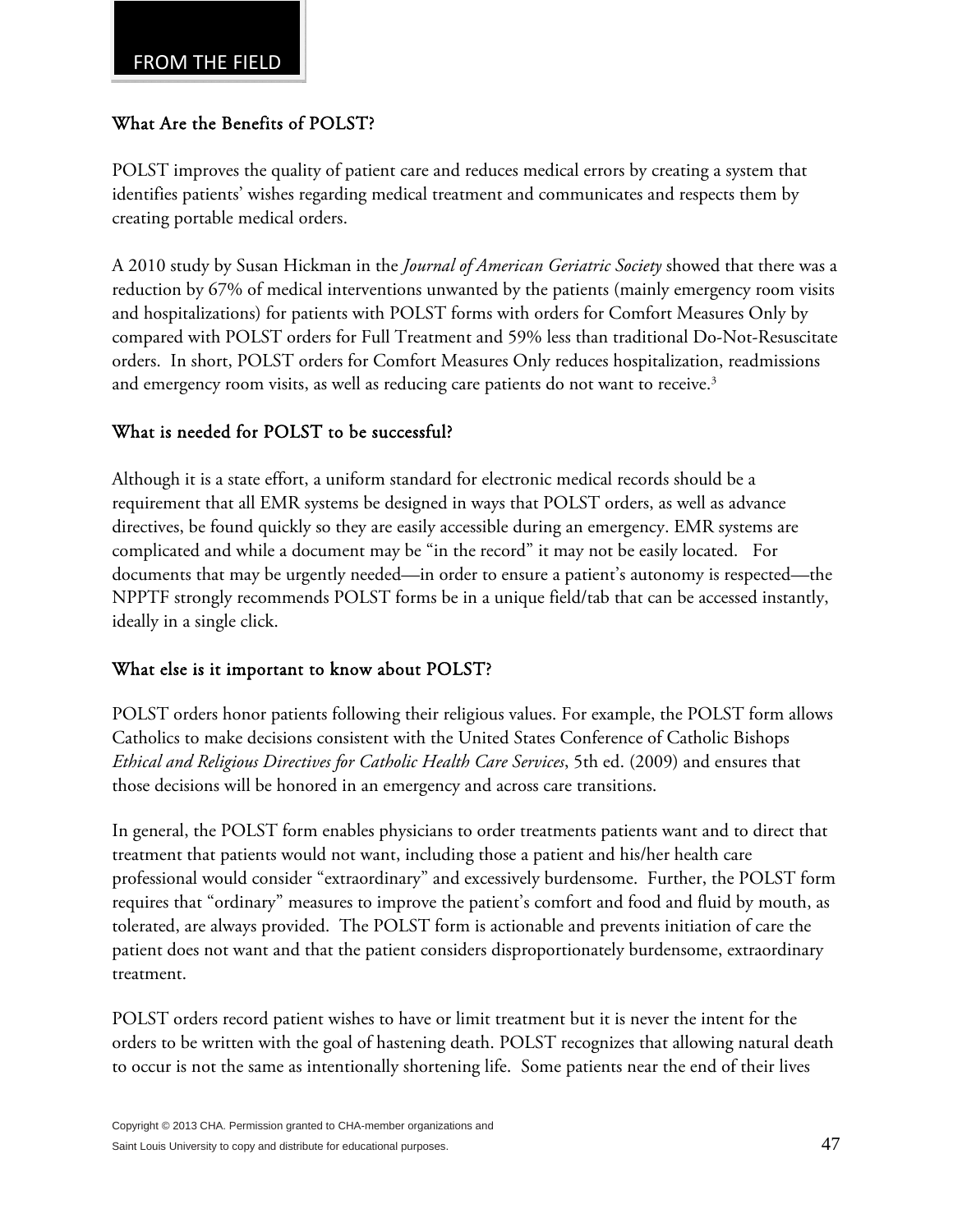### What Are the Benefits of POLST?

POLST improves the quality of patient care and reduces medical errors by creating a system that identifies patients' wishes regarding medical treatment and communicates and respects them by creating portable medical orders.

A 2010 study by Susan Hickman in the *Journal of American Geriatric Society* showed that there was a reduction by 67% of medical interventions unwanted by the patients (mainly emergency room visits and hospitalizations) for patients with POLST forms with orders for Comfort Measures Only by compared with POLST orders for Full Treatment and 59% less than traditional Do-Not-Resuscitate orders. In short, POLST orders for Comfort Measures Only reduces hospitalization, readmissions and emergency room visits, as well as reducing care patients do not want to receive.<sup>3</sup>

### What is needed for POLST to be successful?

Although it is a state effort, a uniform standard for electronic medical records should be a requirement that all EMR systems be designed in ways that POLST orders, as well as advance directives, be found quickly so they are easily accessible during an emergency. EMR systems are complicated and while a document may be "in the record" it may not be easily located. For documents that may be urgently needed—in order to ensure a patient's autonomy is respected—the NPPTF strongly recommends POLST forms be in a unique field/tab that can be accessed instantly, ideally in a single click.

#### What else is it important to know about POLST?

POLST orders honor patients following their religious values. For example, the POLST form allows Catholics to make decisions consistent with the United States Conference of Catholic Bishops *Ethical and Religious Directives for Catholic Health Care Services*, 5th ed. (2009) and ensures that those decisions will be honored in an emergency and across care transitions.

In general, the POLST form enables physicians to order treatments patients want and to direct that treatment that patients would not want, including those a patient and his/her health care professional would consider "extraordinary" and excessively burdensome. Further, the POLST form requires that "ordinary" measures to improve the patient's comfort and food and fluid by mouth, as tolerated, are always provided. The POLST form is actionable and prevents initiation of care the patient does not want and that the patient considers disproportionately burdensome, extraordinary treatment.

POLST orders record patient wishes to have or limit treatment but it is never the intent for the orders to be written with the goal of hastening death. POLST recognizes that allowing natural death to occur is not the same as intentionally shortening life. Some patients near the end of their lives